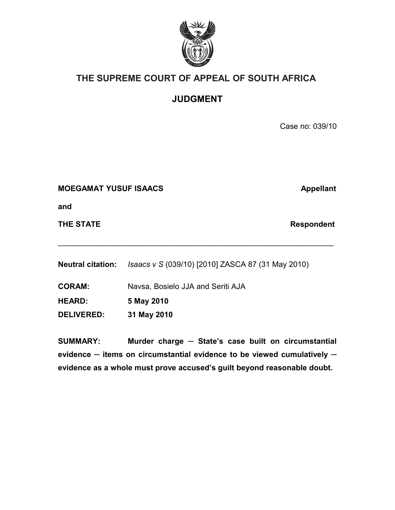

# **THE SUPREME COURT OF APPEAL OF SOUTH AFRICA**

**JUDGMENT**

Case no: 039/10

## **MOEGAMAT YUSUF ISAACS Appellant**

**and**

**THE STATE Respondent** 

**Neutral citation:** *Isaacs v S* (039/10) [2010] ZASCA 87 (31 May 2010)

 $\mathcal{L}_\text{max}$  and  $\mathcal{L}_\text{max}$  and  $\mathcal{L}_\text{max}$  and  $\mathcal{L}_\text{max}$  and  $\mathcal{L}_\text{max}$  and  $\mathcal{L}_\text{max}$ 

**CORAM:** Navsa, Bosielo JJA and Seriti AJA

**HEARD: 5 May 2010**

**DELIVERED: 31 May 2010**

**SUMMARY: Murder charge ─ State's case built on circumstantial evidence ─ items on circumstantial evidence to be viewed cumulatively ─ evidence as a whole must prove accused's guilt beyond reasonable doubt.**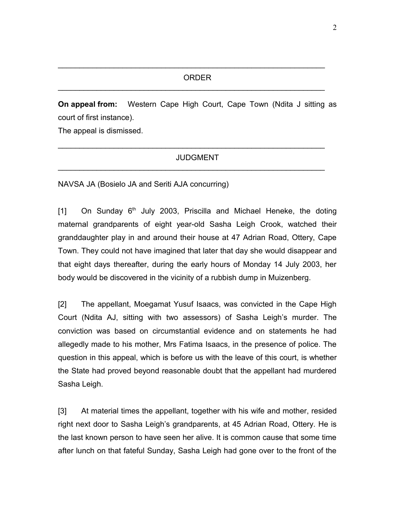$\mathcal{L}_\text{max}$  , and the contract of the contract of the contract of the contract of the contract of the contract of the contract of the contract of the contract of the contract of the contract of the contract of the contr

 $\mathcal{L}_\text{max}$  , and the contract of the contract of the contract of the contract of the contract of the contract of the contract of the contract of the contract of the contract of the contract of the contract of the contr

**On appeal from:** Western Cape High Court, Cape Town (Ndita J sitting as court of first instance).

The appeal is dismissed.

#### JUDGMENT

 $\mathcal{L}_\text{max} = \mathcal{L}_\text{max} = \mathcal{L}_\text{max} = \mathcal{L}_\text{max} = \mathcal{L}_\text{max} = \mathcal{L}_\text{max} = \mathcal{L}_\text{max} = \mathcal{L}_\text{max} = \mathcal{L}_\text{max} = \mathcal{L}_\text{max} = \mathcal{L}_\text{max} = \mathcal{L}_\text{max} = \mathcal{L}_\text{max} = \mathcal{L}_\text{max} = \mathcal{L}_\text{max} = \mathcal{L}_\text{max} = \mathcal{L}_\text{max} = \mathcal{L}_\text{max} = \mathcal{$ 

 $\mathcal{L}_\text{max} = \mathcal{L}_\text{max} = \mathcal{L}_\text{max} = \mathcal{L}_\text{max} = \mathcal{L}_\text{max} = \mathcal{L}_\text{max} = \mathcal{L}_\text{max} = \mathcal{L}_\text{max} = \mathcal{L}_\text{max} = \mathcal{L}_\text{max} = \mathcal{L}_\text{max} = \mathcal{L}_\text{max} = \mathcal{L}_\text{max} = \mathcal{L}_\text{max} = \mathcal{L}_\text{max} = \mathcal{L}_\text{max} = \mathcal{L}_\text{max} = \mathcal{L}_\text{max} = \mathcal{$ 

NAVSA JA (Bosielo JA and Seriti AJA concurring)

 $[1]$  On Sunday  $6<sup>th</sup>$  July 2003, Priscilla and Michael Heneke, the doting maternal grandparents of eight year-old Sasha Leigh Crook, watched their granddaughter play in and around their house at 47 Adrian Road, Ottery, Cape Town. They could not have imagined that later that day she would disappear and that eight days thereafter, during the early hours of Monday 14 July 2003, her body would be discovered in the vicinity of a rubbish dump in Muizenberg.

[2] The appellant, Moegamat Yusuf Isaacs, was convicted in the Cape High Court (Ndita AJ, sitting with two assessors) of Sasha Leigh's murder. The conviction was based on circumstantial evidence and on statements he had allegedly made to his mother, Mrs Fatima Isaacs, in the presence of police. The question in this appeal, which is before us with the leave of this court, is whether the State had proved beyond reasonable doubt that the appellant had murdered Sasha Leigh.

[3] At material times the appellant, together with his wife and mother, resided right next door to Sasha Leigh's grandparents, at 45 Adrian Road, Ottery. He is the last known person to have seen her alive. It is common cause that some time after lunch on that fateful Sunday, Sasha Leigh had gone over to the front of the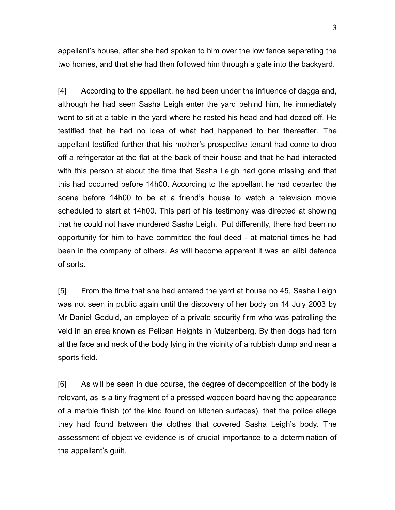appellant's house, after she had spoken to him over the low fence separating the two homes, and that she had then followed him through a gate into the backyard.

[4] According to the appellant, he had been under the influence of dagga and, although he had seen Sasha Leigh enter the yard behind him, he immediately went to sit at a table in the yard where he rested his head and had dozed off. He testified that he had no idea of what had happened to her thereafter. The appellant testified further that his mother's prospective tenant had come to drop off a refrigerator at the flat at the back of their house and that he had interacted with this person at about the time that Sasha Leigh had gone missing and that this had occurred before 14h00. According to the appellant he had departed the scene before 14h00 to be at a friend's house to watch a television movie scheduled to start at 14h00. This part of his testimony was directed at showing that he could not have murdered Sasha Leigh. Put differently, there had been no opportunity for him to have committed the foul deed - at material times he had been in the company of others. As will become apparent it was an alibi defence of sorts.

[5] From the time that she had entered the yard at house no 45, Sasha Leigh was not seen in public again until the discovery of her body on 14 July 2003 by Mr Daniel Geduld, an employee of a private security firm who was patrolling the veld in an area known as Pelican Heights in Muizenberg. By then dogs had torn at the face and neck of the body lying in the vicinity of a rubbish dump and near a sports field.

[6] As will be seen in due course, the degree of decomposition of the body is relevant, as is a tiny fragment of a pressed wooden board having the appearance of a marble finish (of the kind found on kitchen surfaces), that the police allege they had found between the clothes that covered Sasha Leigh's body. The assessment of objective evidence is of crucial importance to a determination of the appellant's guilt.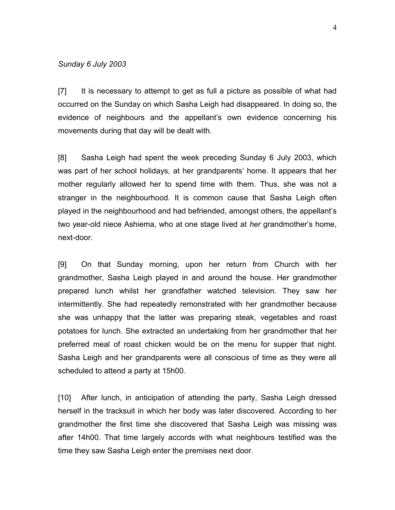#### *Sunday 6 July 2003*

[7] It is necessary to attempt to get as full a picture as possible of what had occurred on the Sunday on which Sasha Leigh had disappeared. In doing so, the evidence of neighbours and the appellant's own evidence concerning his movements during that day will be dealt with.

[8] Sasha Leigh had spent the week preceding Sunday 6 July 2003, which was part of her school holidays, at her grandparents' home. It appears that her mother regularly allowed her to spend time with them. Thus, she was not a stranger in the neighbourhood. It is common cause that Sasha Leigh often played in the neighbourhood and had befriended, amongst others, the appellant's two year-old niece Ashiema, who at one stage lived at *her* grandmother's home, next-door.

[9] On that Sunday morning, upon her return from Church with her grandmother, Sasha Leigh played in and around the house. Her grandmother prepared lunch whilst her grandfather watched television. They saw her intermittently. She had repeatedly remonstrated with her grandmother because she was unhappy that the latter was preparing steak, vegetables and roast potatoes for lunch. She extracted an undertaking from her grandmother that her preferred meal of roast chicken would be on the menu for supper that night. Sasha Leigh and her grandparents were all conscious of time as they were all scheduled to attend a party at 15h00.

[10] After lunch, in anticipation of attending the party, Sasha Leigh dressed herself in the tracksuit in which her body was later discovered. According to her grandmother the first time she discovered that Sasha Leigh was missing was after 14h00. That time largely accords with what neighbours testified was the time they saw Sasha Leigh enter the premises next door.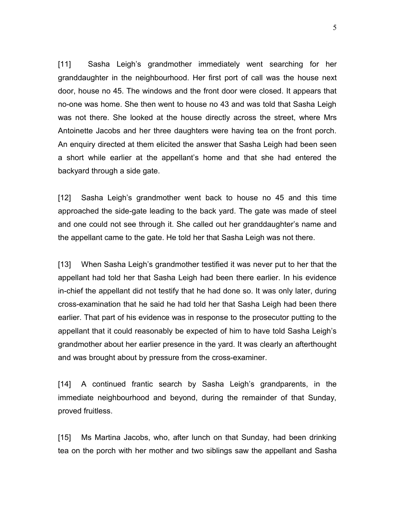[11] Sasha Leigh's grandmother immediately went searching for her granddaughter in the neighbourhood. Her first port of call was the house next door, house no 45. The windows and the front door were closed. It appears that no-one was home. She then went to house no 43 and was told that Sasha Leigh was not there. She looked at the house directly across the street, where Mrs Antoinette Jacobs and her three daughters were having tea on the front porch. An enquiry directed at them elicited the answer that Sasha Leigh had been seen a short while earlier at the appellant's home and that she had entered the backyard through a side gate.

[12] Sasha Leigh's grandmother went back to house no 45 and this time approached the side-gate leading to the back yard. The gate was made of steel and one could not see through it. She called out her granddaughter's name and the appellant came to the gate. He told her that Sasha Leigh was not there.

[13] When Sasha Leigh's grandmother testified it was never put to her that the appellant had told her that Sasha Leigh had been there earlier. In his evidence in-chief the appellant did not testify that he had done so. It was only later, during cross-examination that he said he had told her that Sasha Leigh had been there earlier. That part of his evidence was in response to the prosecutor putting to the appellant that it could reasonably be expected of him to have told Sasha Leigh's grandmother about her earlier presence in the yard. It was clearly an afterthought and was brought about by pressure from the cross-examiner.

[14] A continued frantic search by Sasha Leigh's grandparents, in the immediate neighbourhood and beyond, during the remainder of that Sunday, proved fruitless.

[15] Ms Martina Jacobs, who, after lunch on that Sunday, had been drinking tea on the porch with her mother and two siblings saw the appellant and Sasha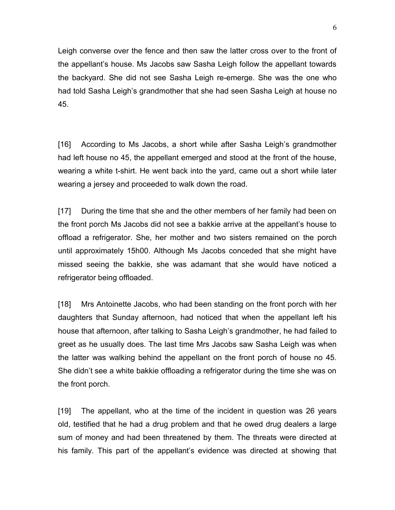Leigh converse over the fence and then saw the latter cross over to the front of the appellant's house. Ms Jacobs saw Sasha Leigh follow the appellant towards the backyard. She did not see Sasha Leigh re-emerge. She was the one who had told Sasha Leigh's grandmother that she had seen Sasha Leigh at house no 45.

[16] According to Ms Jacobs, a short while after Sasha Leigh's grandmother had left house no 45, the appellant emerged and stood at the front of the house, wearing a white t-shirt. He went back into the yard, came out a short while later wearing a jersey and proceeded to walk down the road.

[17] During the time that she and the other members of her family had been on the front porch Ms Jacobs did not see a bakkie arrive at the appellant's house to offload a refrigerator. She, her mother and two sisters remained on the porch until approximately 15h00. Although Ms Jacobs conceded that she might have missed seeing the bakkie, she was adamant that she would have noticed a refrigerator being offloaded.

[18] Mrs Antoinette Jacobs, who had been standing on the front porch with her daughters that Sunday afternoon, had noticed that when the appellant left his house that afternoon, after talking to Sasha Leigh's grandmother, he had failed to greet as he usually does. The last time Mrs Jacobs saw Sasha Leigh was when the latter was walking behind the appellant on the front porch of house no 45. She didn't see a white bakkie offloading a refrigerator during the time she was on the front porch.

[19] The appellant, who at the time of the incident in question was 26 years old, testified that he had a drug problem and that he owed drug dealers a large sum of money and had been threatened by them. The threats were directed at his family. This part of the appellant's evidence was directed at showing that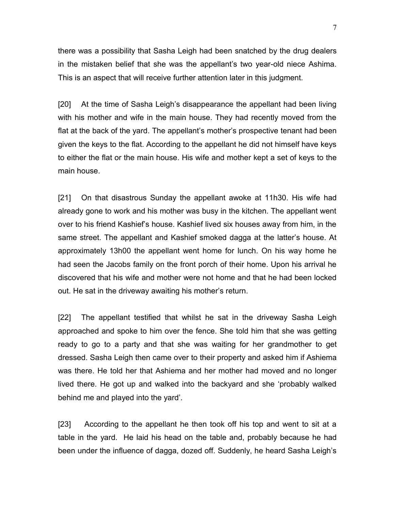there was a possibility that Sasha Leigh had been snatched by the drug dealers in the mistaken belief that she was the appellant's two year-old niece Ashima. This is an aspect that will receive further attention later in this judgment.

[20] At the time of Sasha Leigh's disappearance the appellant had been living with his mother and wife in the main house. They had recently moved from the flat at the back of the yard. The appellant's mother's prospective tenant had been given the keys to the flat. According to the appellant he did not himself have keys to either the flat or the main house. His wife and mother kept a set of keys to the main house.

[21] On that disastrous Sunday the appellant awoke at 11h30. His wife had already gone to work and his mother was busy in the kitchen. The appellant went over to his friend Kashief's house. Kashief lived six houses away from him, in the same street. The appellant and Kashief smoked dagga at the latter's house. At approximately 13h00 the appellant went home for lunch. On his way home he had seen the Jacobs family on the front porch of their home. Upon his arrival he discovered that his wife and mother were not home and that he had been locked out. He sat in the driveway awaiting his mother's return.

[22] The appellant testified that whilst he sat in the driveway Sasha Leigh approached and spoke to him over the fence. She told him that she was getting ready to go to a party and that she was waiting for her grandmother to get dressed. Sasha Leigh then came over to their property and asked him if Ashiema was there. He told her that Ashiema and her mother had moved and no longer lived there. He got up and walked into the backyard and she 'probably walked behind me and played into the yard'.

[23] According to the appellant he then took off his top and went to sit at a table in the yard. He laid his head on the table and, probably because he had been under the influence of dagga, dozed off. Suddenly, he heard Sasha Leigh's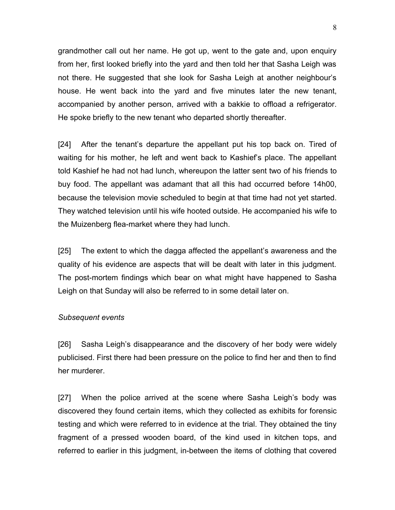grandmother call out her name. He got up, went to the gate and, upon enquiry from her, first looked briefly into the yard and then told her that Sasha Leigh was not there. He suggested that she look for Sasha Leigh at another neighbour's house. He went back into the yard and five minutes later the new tenant, accompanied by another person, arrived with a bakkie to offload a refrigerator. He spoke briefly to the new tenant who departed shortly thereafter.

[24] After the tenant's departure the appellant put his top back on. Tired of waiting for his mother, he left and went back to Kashief's place. The appellant told Kashief he had not had lunch, whereupon the latter sent two of his friends to buy food. The appellant was adamant that all this had occurred before 14h00, because the television movie scheduled to begin at that time had not yet started. They watched television until his wife hooted outside. He accompanied his wife to the Muizenberg flea-market where they had lunch.

[25] The extent to which the dagga affected the appellant's awareness and the quality of his evidence are aspects that will be dealt with later in this judgment. The post-mortem findings which bear on what might have happened to Sasha Leigh on that Sunday will also be referred to in some detail later on.

#### *Subsequent events*

[26] Sasha Leigh's disappearance and the discovery of her body were widely publicised. First there had been pressure on the police to find her and then to find her murderer.

[27] When the police arrived at the scene where Sasha Leigh's body was discovered they found certain items, which they collected as exhibits for forensic testing and which were referred to in evidence at the trial. They obtained the tiny fragment of a pressed wooden board, of the kind used in kitchen tops, and referred to earlier in this judgment, in-between the items of clothing that covered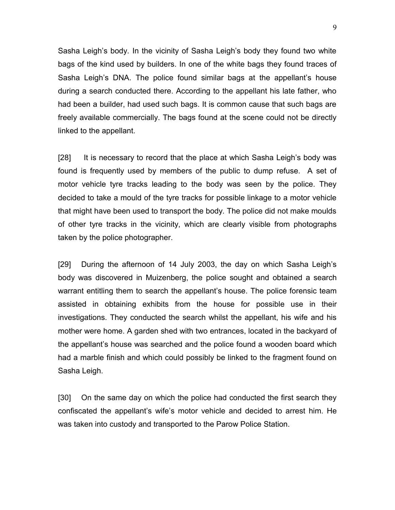Sasha Leigh's body. In the vicinity of Sasha Leigh's body they found two white bags of the kind used by builders. In one of the white bags they found traces of Sasha Leigh's DNA. The police found similar bags at the appellant's house during a search conducted there. According to the appellant his late father, who had been a builder, had used such bags. It is common cause that such bags are freely available commercially. The bags found at the scene could not be directly linked to the appellant.

[28] It is necessary to record that the place at which Sasha Leigh's body was found is frequently used by members of the public to dump refuse. A set of motor vehicle tyre tracks leading to the body was seen by the police. They decided to take a mould of the tyre tracks for possible linkage to a motor vehicle that might have been used to transport the body. The police did not make moulds of other tyre tracks in the vicinity, which are clearly visible from photographs taken by the police photographer.

[29] During the afternoon of 14 July 2003, the day on which Sasha Leigh's body was discovered in Muizenberg, the police sought and obtained a search warrant entitling them to search the appellant's house. The police forensic team assisted in obtaining exhibits from the house for possible use in their investigations. They conducted the search whilst the appellant, his wife and his mother were home. A garden shed with two entrances, located in the backyard of the appellant's house was searched and the police found a wooden board which had a marble finish and which could possibly be linked to the fragment found on Sasha Leigh.

[30] On the same day on which the police had conducted the first search they confiscated the appellant's wife's motor vehicle and decided to arrest him. He was taken into custody and transported to the Parow Police Station.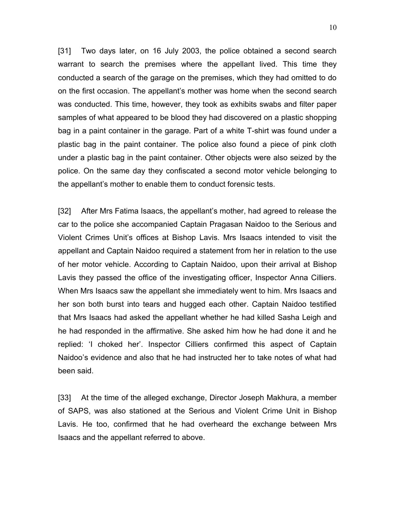[31] Two days later, on 16 July 2003, the police obtained a second search warrant to search the premises where the appellant lived. This time they conducted a search of the garage on the premises, which they had omitted to do on the first occasion. The appellant's mother was home when the second search was conducted. This time, however, they took as exhibits swabs and filter paper samples of what appeared to be blood they had discovered on a plastic shopping bag in a paint container in the garage. Part of a white T-shirt was found under a plastic bag in the paint container. The police also found a piece of pink cloth under a plastic bag in the paint container. Other objects were also seized by the police. On the same day they confiscated a second motor vehicle belonging to the appellant's mother to enable them to conduct forensic tests.

[32] After Mrs Fatima Isaacs, the appellant's mother, had agreed to release the car to the police she accompanied Captain Pragasan Naidoo to the Serious and Violent Crimes Unit's offices at Bishop Lavis. Mrs Isaacs intended to visit the appellant and Captain Naidoo required a statement from her in relation to the use of her motor vehicle. According to Captain Naidoo, upon their arrival at Bishop Lavis they passed the office of the investigating officer, Inspector Anna Cilliers. When Mrs Isaacs saw the appellant she immediately went to him. Mrs Isaacs and her son both burst into tears and hugged each other. Captain Naidoo testified that Mrs Isaacs had asked the appellant whether he had killed Sasha Leigh and he had responded in the affirmative. She asked him how he had done it and he replied: 'I choked her'. Inspector Cilliers confirmed this aspect of Captain Naidoo's evidence and also that he had instructed her to take notes of what had been said.

[33] At the time of the alleged exchange, Director Joseph Makhura, a member of SAPS, was also stationed at the Serious and Violent Crime Unit in Bishop Lavis. He too, confirmed that he had overheard the exchange between Mrs Isaacs and the appellant referred to above.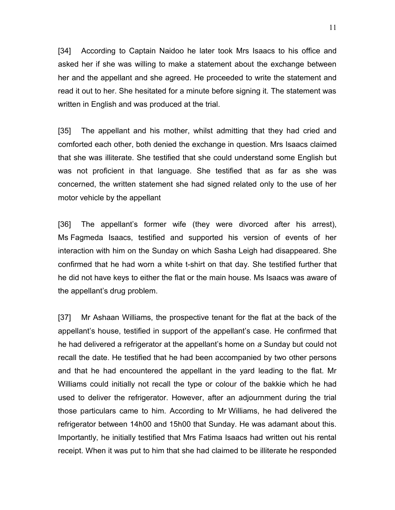[34] According to Captain Naidoo he later took Mrs Isaacs to his office and asked her if she was willing to make a statement about the exchange between her and the appellant and she agreed. He proceeded to write the statement and read it out to her. She hesitated for a minute before signing it. The statement was written in English and was produced at the trial.

[35] The appellant and his mother, whilst admitting that they had cried and comforted each other, both denied the exchange in question. Mrs Isaacs claimed that she was illiterate. She testified that she could understand some English but was not proficient in that language. She testified that as far as she was concerned, the written statement she had signed related only to the use of her motor vehicle by the appellant

[36] The appellant's former wife (they were divorced after his arrest), Ms Fagmeda Isaacs, testified and supported his version of events of her interaction with him on the Sunday on which Sasha Leigh had disappeared. She confirmed that he had worn a white t-shirt on that day. She testified further that he did not have keys to either the flat or the main house. Ms Isaacs was aware of the appellant's drug problem.

[37] Mr Ashaan Williams, the prospective tenant for the flat at the back of the appellant's house, testified in support of the appellant's case. He confirmed that he had delivered a refrigerator at the appellant's home on *a* Sunday but could not recall the date. He testified that he had been accompanied by two other persons and that he had encountered the appellant in the yard leading to the flat. Mr Williams could initially not recall the type or colour of the bakkie which he had used to deliver the refrigerator. However, after an adjournment during the trial those particulars came to him. According to Mr Williams, he had delivered the refrigerator between 14h00 and 15h00 that Sunday. He was adamant about this. Importantly, he initially testified that Mrs Fatima Isaacs had written out his rental receipt. When it was put to him that she had claimed to be illiterate he responded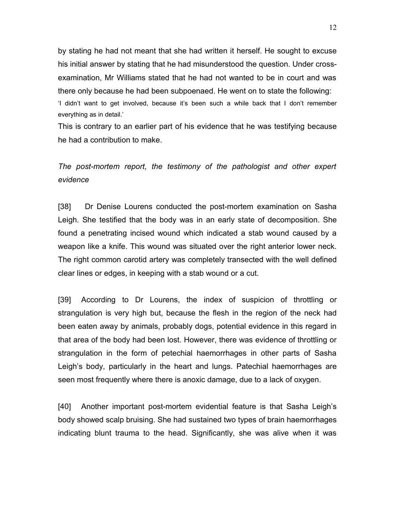by stating he had not meant that she had written it herself. He sought to excuse his initial answer by stating that he had misunderstood the question. Under crossexamination, Mr Williams stated that he had not wanted to be in court and was there only because he had been subpoenaed. He went on to state the following: 'I didn't want to get involved, because it's been such a while back that I don't remember everything as in detail.'

This is contrary to an earlier part of his evidence that he was testifying because he had a contribution to make.

## *The post-mortem report, the testimony of the pathologist and other expert evidence*

[38] Dr Denise Lourens conducted the post-mortem examination on Sasha Leigh. She testified that the body was in an early state of decomposition. She found a penetrating incised wound which indicated a stab wound caused by a weapon like a knife. This wound was situated over the right anterior lower neck. The right common carotid artery was completely transected with the well defined clear lines or edges, in keeping with a stab wound or a cut.

[39] According to Dr Lourens, the index of suspicion of throttling or strangulation is very high but, because the flesh in the region of the neck had been eaten away by animals, probably dogs, potential evidence in this regard in that area of the body had been lost. However, there was evidence of throttling or strangulation in the form of petechial haemorrhages in other parts of Sasha Leigh's body, particularly in the heart and lungs. Patechial haemorrhages are seen most frequently where there is anoxic damage, due to a lack of oxygen.

[40] Another important post-mortem evidential feature is that Sasha Leigh's body showed scalp bruising. She had sustained two types of brain haemorrhages indicating blunt trauma to the head. Significantly, she was alive when it was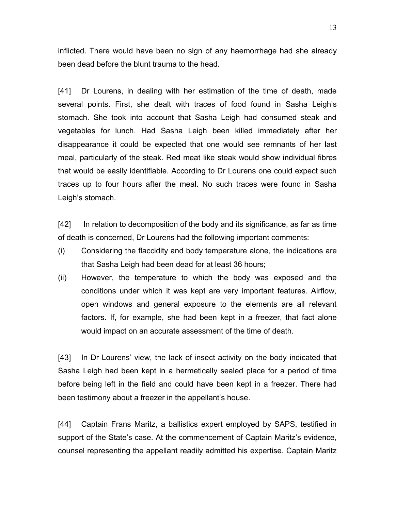inflicted. There would have been no sign of any haemorrhage had she already been dead before the blunt trauma to the head.

[41] Dr Lourens, in dealing with her estimation of the time of death, made several points. First, she dealt with traces of food found in Sasha Leigh's stomach. She took into account that Sasha Leigh had consumed steak and vegetables for lunch. Had Sasha Leigh been killed immediately after her disappearance it could be expected that one would see remnants of her last meal, particularly of the steak. Red meat like steak would show individual fibres that would be easily identifiable. According to Dr Lourens one could expect such traces up to four hours after the meal. No such traces were found in Sasha Leigh's stomach.

[42] In relation to decomposition of the body and its significance, as far as time of death is concerned, Dr Lourens had the following important comments:

- (i) Considering the flaccidity and body temperature alone, the indications are that Sasha Leigh had been dead for at least 36 hours;
- (ii) However, the temperature to which the body was exposed and the conditions under which it was kept are very important features. Airflow, open windows and general exposure to the elements are all relevant factors. If, for example, she had been kept in a freezer, that fact alone would impact on an accurate assessment of the time of death.

[43] In Dr Lourens' view, the lack of insect activity on the body indicated that Sasha Leigh had been kept in a hermetically sealed place for a period of time before being left in the field and could have been kept in a freezer. There had been testimony about a freezer in the appellant's house.

[44] Captain Frans Maritz, a ballistics expert employed by SAPS, testified in support of the State's case. At the commencement of Captain Maritz's evidence, counsel representing the appellant readily admitted his expertise. Captain Maritz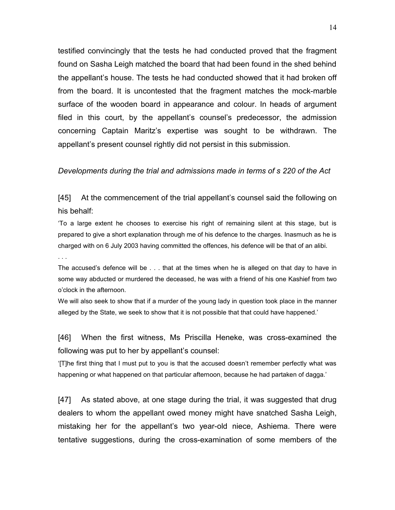testified convincingly that the tests he had conducted proved that the fragment found on Sasha Leigh matched the board that had been found in the shed behind the appellant's house. The tests he had conducted showed that it had broken off from the board. It is uncontested that the fragment matches the mock-marble surface of the wooden board in appearance and colour. In heads of argument filed in this court, by the appellant's counsel's predecessor, the admission concerning Captain Maritz's expertise was sought to be withdrawn. The appellant's present counsel rightly did not persist in this submission.

#### *Developments during the trial and admissions made in terms of s 220 of the Act*

[45] At the commencement of the trial appellant's counsel said the following on his behalf:

'To a large extent he chooses to exercise his right of remaining silent at this stage, but is prepared to give a short explanation through me of his defence to the charges. Inasmuch as he is charged with on 6 July 2003 having committed the offences, his defence will be that of an alibi.

. . .

The accused's defence will be . . . that at the times when he is alleged on that day to have in some way abducted or murdered the deceased, he was with a friend of his one Kashief from two o'clock in the afternoon.

We will also seek to show that if a murder of the young lady in question took place in the manner alleged by the State, we seek to show that it is not possible that that could have happened.'

[46] When the first witness, Ms Priscilla Heneke, was cross-examined the following was put to her by appellant's counsel:

'[T]he first thing that I must put to you is that the accused doesn't remember perfectly what was happening or what happened on that particular afternoon, because he had partaken of dagga.'

[47] As stated above, at one stage during the trial, it was suggested that drug dealers to whom the appellant owed money might have snatched Sasha Leigh, mistaking her for the appellant's two year-old niece, Ashiema. There were tentative suggestions, during the cross-examination of some members of the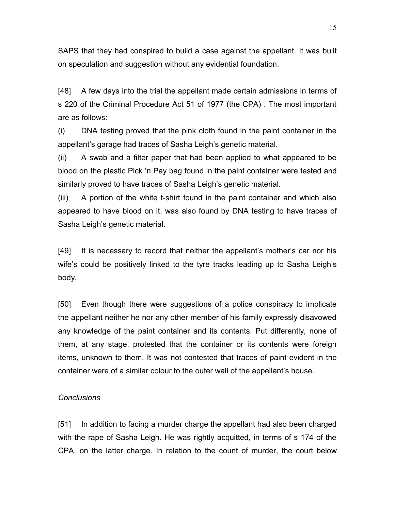SAPS that they had conspired to build a case against the appellant. It was built on speculation and suggestion without any evidential foundation.

[48] A few days into the trial the appellant made certain admissions in terms of s 220 of the Criminal Procedure Act 51 of 1977 (the CPA) . The most important are as follows:

(i) DNA testing proved that the pink cloth found in the paint container in the appellant's garage had traces of Sasha Leigh's genetic material.

(ii) A swab and a filter paper that had been applied to what appeared to be blood on the plastic Pick 'n Pay bag found in the paint container were tested and similarly proved to have traces of Sasha Leigh's genetic material.

(iii) A portion of the white t-shirt found in the paint container and which also appeared to have blood on it, was also found by DNA testing to have traces of Sasha Leigh's genetic material.

[49] It is necessary to record that neither the appellant's mother's car nor his wife's could be positively linked to the tyre tracks leading up to Sasha Leigh's body.

[50] Even though there were suggestions of a police conspiracy to implicate the appellant neither he nor any other member of his family expressly disavowed any knowledge of the paint container and its contents. Put differently, none of them, at any stage, protested that the container or its contents were foreign items, unknown to them. It was not contested that traces of paint evident in the container were of a similar colour to the outer wall of the appellant's house.

#### *Conclusions*

[51] In addition to facing a murder charge the appellant had also been charged with the rape of Sasha Leigh. He was rightly acquitted, in terms of s 174 of the CPA, on the latter charge. In relation to the count of murder, the court below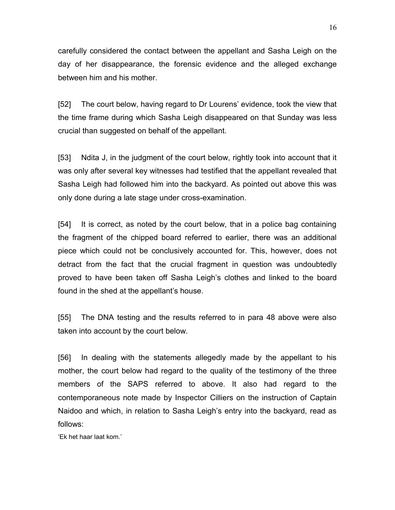carefully considered the contact between the appellant and Sasha Leigh on the day of her disappearance, the forensic evidence and the alleged exchange between him and his mother.

[52] The court below, having regard to Dr Lourens' evidence, took the view that the time frame during which Sasha Leigh disappeared on that Sunday was less crucial than suggested on behalf of the appellant.

[53] Ndita J, in the judgment of the court below, rightly took into account that it was only after several key witnesses had testified that the appellant revealed that Sasha Leigh had followed him into the backyard. As pointed out above this was only done during a late stage under cross-examination.

[54] It is correct, as noted by the court below, that in a police bag containing the fragment of the chipped board referred to earlier, there was an additional piece which could not be conclusively accounted for. This, however, does not detract from the fact that the crucial fragment in question was undoubtedly proved to have been taken off Sasha Leigh's clothes and linked to the board found in the shed at the appellant's house.

[55] The DNA testing and the results referred to in para 48 above were also taken into account by the court below.

[56] In dealing with the statements allegedly made by the appellant to his mother, the court below had regard to the quality of the testimony of the three members of the SAPS referred to above. It also had regard to the contemporaneous note made by Inspector Cilliers on the instruction of Captain Naidoo and which, in relation to Sasha Leigh's entry into the backyard, read as follows:

'Ek het haar laat kom.'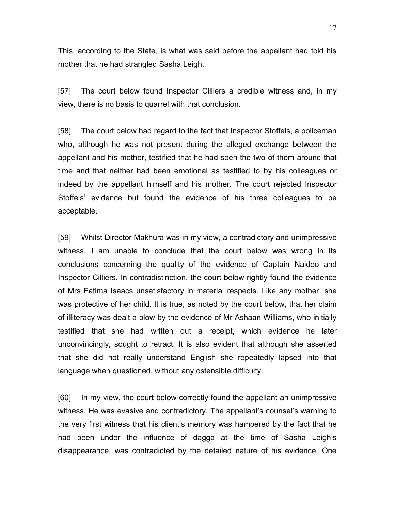This, according to the State, is what was said before the appellant had told his mother that he had strangled Sasha Leigh.

[57] The court below found Inspector Cilliers a credible witness and, in my view, there is no basis to quarrel with that conclusion.

[58] The court below had regard to the fact that Inspector Stoffels, a policeman who, although he was not present during the alleged exchange between the appellant and his mother, testified that he had seen the two of them around that time and that neither had been emotional as testified to by his colleagues or indeed by the appellant himself and his mother. The court rejected Inspector Stoffels' evidence but found the evidence of his three colleagues to be acceptable.

[59] Whilst Director Makhura was in my view, a contradictory and unimpressive witness, I am unable to conclude that the court below was wrong in its conclusions concerning the quality of the evidence of Captain Naidoo and Inspector Cilliers. In contradistinction, the court below rightly found the evidence of Mrs Fatima Isaacs unsatisfactory in material respects. Like any mother, she was protective of her child. It is true, as noted by the court below, that her claim of illiteracy was dealt a blow by the evidence of Mr Ashaan Williams, who initially testified that she had written out a receipt, which evidence he later unconvincingly, sought to retract. It is also evident that although she asserted that she did not really understand English she repeatedly lapsed into that language when questioned, without any ostensible difficulty.

[60] In my view, the court below correctly found the appellant an unimpressive witness. He was evasive and contradictory. The appellant's counsel's warning to the very first witness that his client's memory was hampered by the fact that he had been under the influence of dagga at the time of Sasha Leigh's disappearance, was contradicted by the detailed nature of his evidence. One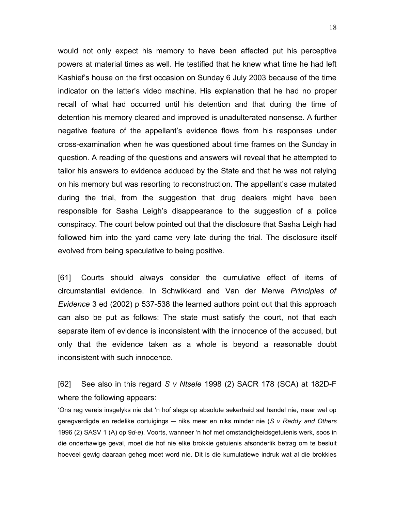would not only expect his memory to have been affected put his perceptive powers at material times as well. He testified that he knew what time he had left Kashief's house on the first occasion on Sunday 6 July 2003 because of the time indicator on the latter's video machine. His explanation that he had no proper recall of what had occurred until his detention and that during the time of detention his memory cleared and improved is unadulterated nonsense. A further negative feature of the appellant's evidence flows from his responses under cross-examination when he was questioned about time frames on the Sunday in question. A reading of the questions and answers will reveal that he attempted to tailor his answers to evidence adduced by the State and that he was not relying on his memory but was resorting to reconstruction. The appellant's case mutated during the trial, from the suggestion that drug dealers might have been responsible for Sasha Leigh's disappearance to the suggestion of a police conspiracy. The court below pointed out that the disclosure that Sasha Leigh had followed him into the yard came very late during the trial. The disclosure itself evolved from being speculative to being positive.

[61] Courts should always consider the cumulative effect of items of circumstantial evidence. In Schwikkard and Van der Merwe *Principles of Evidence* 3 ed (2002) p 537-538 the learned authors point out that this approach can also be put as follows: The state must satisfy the court, not that each separate item of evidence is inconsistent with the innocence of the accused, but only that the evidence taken as a whole is beyond a reasonable doubt inconsistent with such innocence.

[62] See also in this regard *S v Ntsele* 1998 (2) SACR 178 (SCA) at 182D-F where the following appears:

'Ons reg vereis insgelyks nie dat 'n hof slegs op absolute sekerheid sal handel nie, maar wel op geregverdigde en redelike oortuigings ─ niks meer en niks minder nie (*S v Reddy and Others* 1996 (2) SASV 1 (A) op 9*d*-*e*). Voorts, wanneer 'n hof met omstandigheidsgetuienis werk, soos in die onderhawige geval, moet die hof nie elke brokkie getuienis afsonderlik betrag om te besluit hoeveel gewig daaraan geheg moet word nie. Dit is die kumulatiewe indruk wat al die brokkies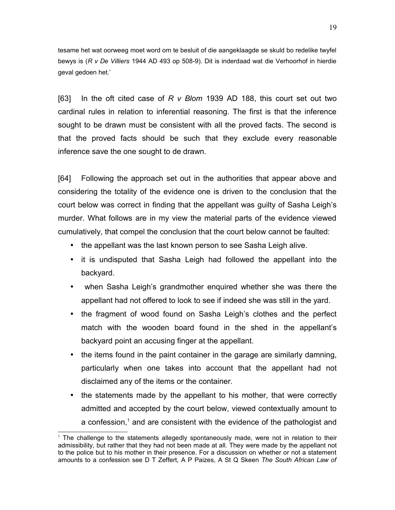tesame het wat oorweeg moet word om te besluit of die aangeklaagde se skuld bo redelike twyfel bewys is (*R v De Villiers* 1944 AD 493 op 508-9). Dit is inderdaad wat die Verhoorhof in hierdie geval gedoen het.'

[63] In the oft cited case of *R v Blom* 1939 AD 188, this court set out two cardinal rules in relation to inferential reasoning. The first is that the inference sought to be drawn must be consistent with all the proved facts. The second is that the proved facts should be such that they exclude every reasonable inference save the one sought to de drawn.

[64] Following the approach set out in the authorities that appear above and considering the totality of the evidence one is driven to the conclusion that the court below was correct in finding that the appellant was guilty of Sasha Leigh's murder. What follows are in my view the material parts of the evidence viewed cumulatively, that compel the conclusion that the court below cannot be faulted:

- the appellant was the last known person to see Sasha Leigh alive.
- it is undisputed that Sasha Leigh had followed the appellant into the backyard.
- when Sasha Leigh's grandmother enquired whether she was there the appellant had not offered to look to see if indeed she was still in the yard.
- the fragment of wood found on Sasha Leigh's clothes and the perfect match with the wooden board found in the shed in the appellant's backyard point an accusing finger at the appellant.
- the items found in the paint container in the garage are similarly damning, particularly when one takes into account that the appellant had not disclaimed any of the items or the container.
- the statements made by the appellant to his mother, that were correctly admitted and accepted by the court below, viewed contextually amount to a confession, $<sup>1</sup>$  $<sup>1</sup>$  $<sup>1</sup>$  and are consistent with the evidence of the pathologist and</sup>

<span id="page-18-0"></span><sup>&</sup>lt;sup>1</sup> The challenge to the statements allegedly spontaneously made, were not in relation to their admissibility, but rather that they had not been made at all. They were made by the appellant not to the police but to his mother in their presence. For a discussion on whether or not a statement amounts to a confession see D T Zeffert, A P Paizes, A St Q Skeen *The South African Law of*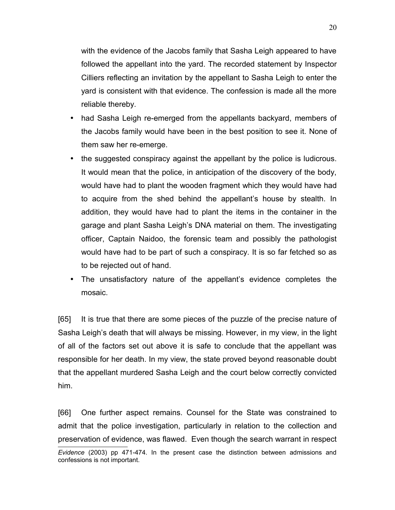with the evidence of the Jacobs family that Sasha Leigh appeared to have followed the appellant into the yard. The recorded statement by Inspector Cilliers reflecting an invitation by the appellant to Sasha Leigh to enter the yard is consistent with that evidence. The confession is made all the more reliable thereby.

- had Sasha Leigh re-emerged from the appellants backyard, members of the Jacobs family would have been in the best position to see it. None of them saw her re-emerge.
- the suggested conspiracy against the appellant by the police is ludicrous. It would mean that the police, in anticipation of the discovery of the body, would have had to plant the wooden fragment which they would have had to acquire from the shed behind the appellant's house by stealth. In addition, they would have had to plant the items in the container in the garage and plant Sasha Leigh's DNA material on them. The investigating officer, Captain Naidoo, the forensic team and possibly the pathologist would have had to be part of such a conspiracy. It is so far fetched so as to be rejected out of hand.
- The unsatisfactory nature of the appellant's evidence completes the mosaic.

[65] It is true that there are some pieces of the puzzle of the precise nature of Sasha Leigh's death that will always be missing. However, in my view, in the light of all of the factors set out above it is safe to conclude that the appellant was responsible for her death. In my view, the state proved beyond reasonable doubt that the appellant murdered Sasha Leigh and the court below correctly convicted him.

[66] One further aspect remains. Counsel for the State was constrained to admit that the police investigation, particularly in relation to the collection and preservation of evidence, was flawed. Even though the search warrant in respect

*Evidence* (2003) pp 471-474. In the present case the distinction between admissions and confessions is not important.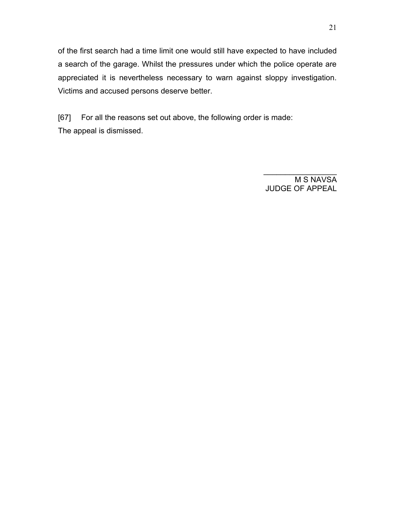of the first search had a time limit one would still have expected to have included a search of the garage. Whilst the pressures under which the police operate are appreciated it is nevertheless necessary to warn against sloppy investigation. Victims and accused persons deserve better.

[67] For all the reasons set out above, the following order is made: The appeal is dismissed.

> M S NAVSA JUDGE OF APPEAL

 $\mathcal{L}_\text{max}$  , we have the set of the set of the set of the set of the set of the set of the set of the set of the set of the set of the set of the set of the set of the set of the set of the set of the set of the set of